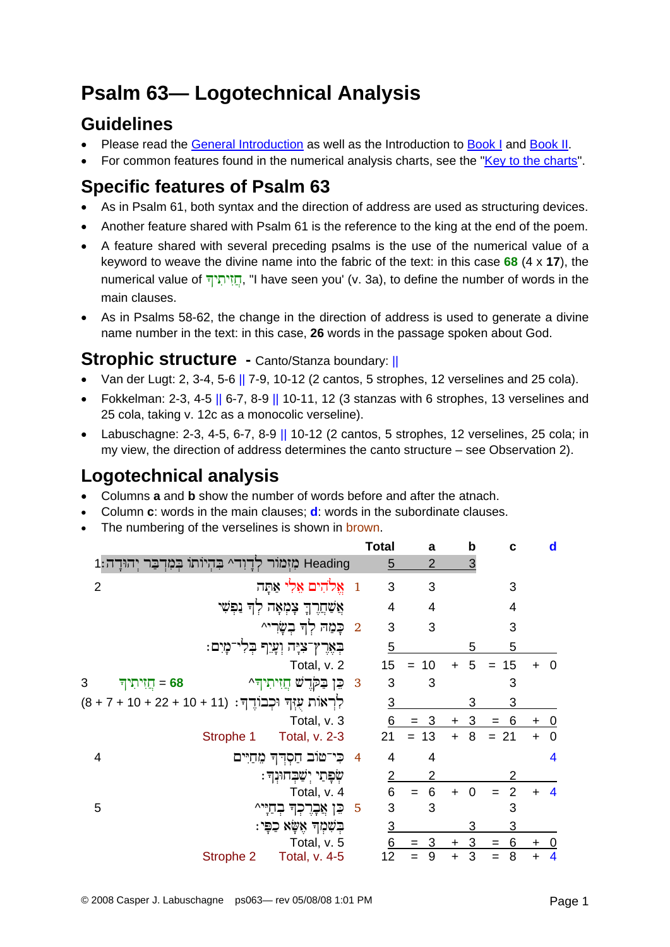# **Psalm 63— Logotechnical Analysis**

## **Guidelines**

- Please read the [General Introduction](http://www.labuschagne.nl/aspects.pdf) as well as the Introduction to [Book I](http://www.labuschagne.nl/intro1.pdf) and [Book II](http://www.labuschagne.nl/intro2.pdf).
- For common features found in the numerical analysis charts, see the "[Key to the charts](http://www.labuschagne.nl/keytocharts.pdf)".

# **Specific features of Psalm 63**

- As in Psalm 61, both syntax and the direction of address are used as structuring devices.
- Another feature shared with Psalm 61 is the reference to the king at the end of the poem.
- A feature shared with several preceding psalms is the use of the numerical value of a keyword to weave the divine name into the fabric of the text: in this case **68** (4 x **17**), the numerical value of הזיתיף, "I have seen you' (v. 3a), to define the number of words in the main clauses.
- As in Psalms 58-62, the change in the direction of address is used to generate a divine name number in the text: in this case, **26** words in the passage spoken about God.

#### **Strophic structure** - Canto/Stanza boundary: ||

- Van der Lugt: 2, 3-4, 5-6  $\parallel$  7-9, 10-12 (2 cantos, 5 strophes, 12 verselines and 25 cola).
- Fokkelman: 2-3, 4-5  $|| 6-7, 8-9 || 10-11, 12$  (3 stanzas with 6 strophes, 13 verselines and 25 cola, taking v. 12c as a monocolic verseline).
- Labuschagne: 2-3, 4-5, 6-7, 8-9  $\parallel$  10-12 (2 cantos, 5 strophes, 12 verselines, 25 cola; in my view, the direction of address determines the canto structure – see Observation 2).

## **Logotechnical analysis**

- Columns **a** and **b** show the number of words before and after the atnach.
- Column **c**: words in the main clauses; **d**: words in the subordinate clauses.
- The numbering of the verselines is shown in brown.

|                                                             |           |                                       |                          | <b>Total</b>   | a              | $\mathbf b$           | C              |           | d                       |
|-------------------------------------------------------------|-----------|---------------------------------------|--------------------------|----------------|----------------|-----------------------|----------------|-----------|-------------------------|
| Heading מִזְמוֹר לְדָוִד^ בִּהְיוֹתוֹ בְּמִדְבַר יְהוּדָה:1 |           |                                       |                          | 5              | 2              | 3                     |                |           |                         |
| $\overline{2}$                                              |           | 1 אֱלֹהִים אֱלִי אַתָּה               |                          | 3              | 3              |                       | 3              |           |                         |
|                                                             |           | אֲשַׁחֲרֶךְ צָמְאָה לְךָ נַפְשִׁי     |                          | 4              | $\overline{4}$ |                       | 4              |           |                         |
|                                                             |           | 2 כָּמַה לְדְּ בִשָּׂרִי^             |                          | 3              | 3              |                       | 3              |           |                         |
|                                                             |           | ּבְאֶרֶץ־צִיָּה וְעָיֵף בְּלִי־מָיִם: |                          | 5              |                | 5                     | 5              |           |                         |
|                                                             |           | Total, v. 2                           |                          | 15             | 10<br>$=$      | 5<br>$\ddagger$       | 15<br>$=$      |           | - 0                     |
| 3<br>58 = חֲזִיתִיך                                         |           | 3 בֵן בַקְרֻשׁ חֲזִיתִיךָ 2           |                          | 3              | 3              |                       | 3              |           |                         |
| לְרְאוֹת עָזְךְ וּכְבוֹדֵךְ: (11 + 10 + 22 + 10 + 7 + 8)    |           |                                       |                          | <u>3</u>       |                | 3                     | 3              |           |                         |
|                                                             |           | Total, v. 3                           |                          | 6              | $= 3$          | 3<br>$\pm$            | 6<br>$=$       | $\ddot{}$ | $\overline{0}$          |
|                                                             | Strophe 1 | <b>Total, v. 2-3</b>                  |                          | 21             | $= 13$         | 8<br>$+$              | $= 21$         | $+$       | $\overline{0}$          |
| 4                                                           |           | כִּי־טוּב חַסְדְךָ מֵחַיִּים          | $\overline{\phantom{a}}$ | 4              | 4              |                       |                |           | $\overline{\mathbf{4}}$ |
|                                                             |           | שְׁפָּתַי יִשֲׁבְחוּנְךָ :            |                          | $\overline{2}$ | 2              |                       | 2              |           |                         |
|                                                             |           | Total, v. 4                           |                          | 6              | 6<br>$=$       | $\overline{0}$<br>$+$ | $\overline{2}$ |           | $\overline{4}$          |
| 5                                                           |           | כֵּן אֲבָרֶכְךָ בְחַיָּי^             | $\overline{5}$           | 3              | 3              |                       | 3              |           |                         |
|                                                             |           | ּבִשְׁמִךְ אֵשָׂא כַפִּי:             |                          | <u>3</u>       |                | 3                     | 3              |           |                         |
|                                                             |           | Total, v. 5                           |                          | 6              | $=$ 3          | 3<br>$+$              | 6<br>$=$       | $\ddot{}$ | $\overline{0}$          |
|                                                             | Strophe 2 | Total, v. 4-5                         |                          | 12             | 9              | 3<br>+                | 8              | $\ddot{}$ | $\overline{\mathbf{4}}$ |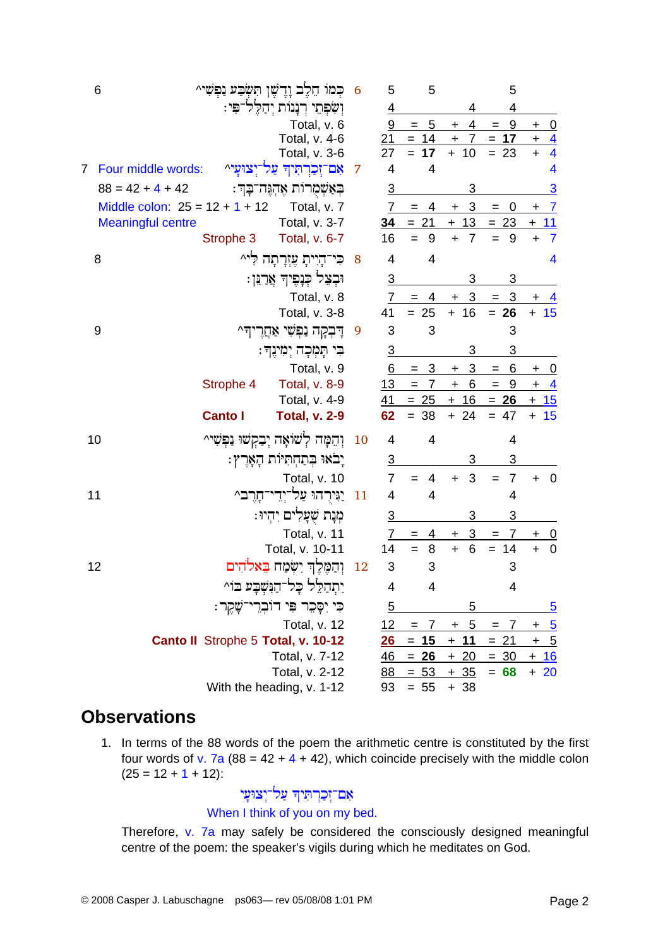| 6                                |                | כִּמֹוֹ חֵלֶב וָדֶשֶׁן תִּשְׂבַע נַפְשִׁי^ | 6  | 5                | 5                     |                             | 5                     |             |                         |
|----------------------------------|----------------|--------------------------------------------|----|------------------|-----------------------|-----------------------------|-----------------------|-------------|-------------------------|
|                                  |                | וִשְׁפְתֵי רִנָּנוֹת יִהַלֵּל־פִּי:        |    | $\overline{4}$   |                       | 4                           | 4                     |             |                         |
|                                  |                | Total, v. 6                                |    | $\boldsymbol{9}$ | $\overline{5}$<br>$=$ | 4<br>$\ddot{}$              | 9<br>$=$              | $\ddot{}$   | <u>_0</u>               |
|                                  |                | Total, v. 4-6                              |    | 21               | $= 14$                | $\ddot{}$<br>7              | 17<br>$=$             | $\ddot{}$   | $\frac{4}{4}$           |
|                                  |                | Total, v. 3-6                              |    | 27               | 17                    | 10<br>$+$                   | $= 23$                | $\ddot{}$   |                         |
| Four middle words:               |                | אם־זִכַרתִּיה עַל־יִצוּעַי^                | 7  | 4                | 4                     |                             |                       |             | 4                       |
| $88 = 42 + 4 + 42$               |                | בִּאַשְׁמָרות אֵהִגֵּה־בָּךְ:              |    | $\overline{3}$   |                       | 3                           |                       |             | $\overline{3}$          |
| Middle colon: $25 = 12 + 1 + 12$ |                | Total, v. 7                                |    | $\overline{7}$   | 4<br>$=$              | 3<br>$+$                    | 0<br>$=$              | $\ddot{}$   | $\overline{7}$          |
| <b>Meaningful centre</b>         |                | Total, v. 3-7                              |    | 34               | $= 21$                | 13<br>$+$                   | $= 23$                | $+$         | 11                      |
|                                  | Strophe 3      | Total, v. 6-7                              |    | 16               | 9<br>$=$              | $\overline{7}$<br>$\ddot{}$ | 9<br>$=$              | $\ddot{}$   | $\overline{7}$          |
| 8                                |                | כִּי־הָיִיתָ עֶזִרֲתָה לִיּ^               | 8  | $\overline{4}$   | 4                     |                             |                       |             | $\overline{\mathbf{4}}$ |
|                                  |                | וּבְצֵל כְּנָפֶיךָ אֲרַגֵּן:               |    | $\overline{3}$   |                       | 3                           | 3                     |             |                         |
|                                  |                | Total, v. 8                                |    | 7                | 4                     | 3<br>÷                      | 3<br>$=$              |             |                         |
|                                  |                | Total, v. 3-8                              |    | 41               | $= 25$                | $+16$                       | $= 26$                | $+ 15$      |                         |
| 9                                |                | דְּבְקָה נַפְּשִׁי אַחֲרֶיךָ^              | 9  | 3                | 3                     |                             | 3                     |             |                         |
|                                  |                | ּבִּי תָּמְכָה יִמְינֶךְ:                  |    | $\overline{3}$   |                       | 3                           | 3                     |             |                         |
|                                  |                | Total, v. 9                                |    | 6                | 3<br>$=$              | 3<br>+                      | 6<br>$=$              | ÷           | <u>__0</u>              |
|                                  | Strophe 4      | <b>Total, v. 8-9</b>                       |    | 13               | $=$<br>$\overline{7}$ | 6<br>$\pm$                  | 9<br>$=$              | $\ddot{}$   | $\overline{-4}$         |
|                                  |                | Total, v. 4-9                              |    | 41               | $= 25$                | $+ 16$                      | $= 26$                | $+ 15$      |                         |
|                                  | <b>Canto I</b> | <b>Total, v. 2-9</b>                       |    | 62               | $= 38$                | $+ 24$                      | $= 47$                | $+ 15$      |                         |
| 10                               |                | וְהֵמָּה לְשׁוֹאָה יְבַקְשׁוּ נַפְשִׁי^    | 10 | 4                | $\overline{4}$        |                             | 4                     |             |                         |
|                                  |                | יָבֹאוּ בְתַחְתִּיוֹת הָאָרֶץ:             |    | $\overline{3}$   |                       | 3                           | 3                     |             |                         |
|                                  |                | Total, v. 10                               |    | $\overline{7}$   | 4<br>$=$              | 3<br>$\ddot{}$              | $\overline{7}$<br>$=$ | $\ddot{}$   | $\overline{\mathbf{0}}$ |
| 11                               |                | יַנִּירְהוּ עַל־יְדֵי־חָרֶב^               | 11 | $\overline{4}$   | 4                     |                             | $\overline{4}$        |             |                         |
|                                  |                | מִנַּת שִׁעַלִים יִהְיוּ:                  |    | $\overline{3}$   |                       | 3                           | 3                     |             |                         |
|                                  |                | Total, v. 11                               |    | 7                | 4<br>=                | 3<br>+                      | 7                     | +           | <u>_0</u>               |
|                                  |                | Total, v. 10-11                            |    | 14               | $\bf 8$<br>$=$        | $6\phantom{1}6$<br>$+$      | $= 14$                | $\ddot{}$   | $\overline{\mathbf{0}}$ |
| 12                               |                | וִהַמֶּלֵךְ יִשְׂמַח בֵאלֹהִים             | 12 | 3                | 3                     |                             | 3                     |             |                         |
|                                  |                | יִתְהַלֵּל בָל־הַנִּשְׁבָע בוֹ^            |    | 4                | 4                     |                             | 4                     |             |                         |
|                                  |                | כִּי יִסָּכֵר פִּי דוּבְרֵי־שָׁקֵר:        |    | $\overline{5}$   |                       | 5                           |                       |             | $\overline{5}$          |
|                                  |                | Total, v. 12                               |    | 12               | $= 7$                 | $+ 5$                       | $= 7$                 | $\mathbf +$ | $\frac{5}{2}$           |
|                                  |                | Canto II Strophe 5 Total, v. 10-12         |    | 26               | $= 15$                | $+ 11$                      | $= 21$                | $\ddot{}$   | $\frac{5}{2}$           |
|                                  |                | Total, v. 7-12                             |    | 46               | $= 26$                | $+20$                       | $= 30$                | $+ 16$      |                         |
|                                  |                | Total, v. 2-12                             |    | 88               | $= 53$                | <u>+ 35</u>                 | $= 68$                | $+20$       |                         |
|                                  |                | With the heading, v. 1-12                  |    | 93               | $= 55$                | $+38$                       |                       |             |                         |
|                                  |                |                                            |    |                  |                       |                             |                       |             |                         |

#### **Observations**

1. In terms of the 88 words of the poem the arithmetic centre is constituted by the first four words of v. 7a (88 =  $42 + 4 + 42$ ), which coincide precisely with the middle colon  $(25 = 12 + 1 + 12)$ :

#### אִם־זְכַרְתִּיךְ עַל־יְצוּעָי When I think of you on my bed.

Therefore, v. 7a may safely be considered the consciously designed meaningful centre of the poem: the speaker's vigils during which he meditates on God.